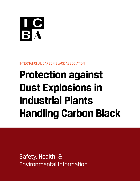

INTERNATIONAL CARBON BLACK ASSOCIATION

# **Protection against Dust Explosions in Industrial Plants Handling Carbon Black**

Safety, Health, & Environmental Information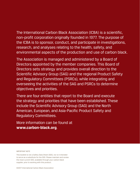The International Carbon Black Association (ICBA) is a scientific, non-profit corporation originally founded in 1977. The purpose of the ICBA is to sponsor, conduct, and participate in investigations, research, and analyses relating to the health, safety, and environmental aspects of the production and use of carbon black.

The Association is managed and administered by a Board of Directors appointed by the member companies. This Board of Directors sets strategy and provides overall direction to the Scientific Advisory Group (SAG) and the regional Product Safety and Regulatory Committees (PSRCs), while integrating and overseeing the activities of the SAG and PSRCs to determine objectives and priorities.

There are four entities that report to the Board and execute the strategy and priorities that have been established. These include the Scientific Advisory Group (SAG) and the North American, European, and Asia-Pacific Product Safety and Regulatory Committees.

More information can be found at **www.carbon-black.org**.

#### IMPORTANT NOTE

This booklet is not a Safety Data Sheet (SDS), nor is it intended to serve as a substitute for the SDS. Please maintain and review the most current SDS, available through your carbon black supplier, prior to working with this product.

©2017 International Carbon Black Association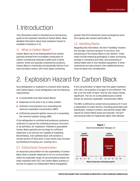### 1. Introduction

This information sheet is intended as an introductory guide to the explosion hazards of Carbon Black. More detailed information about dust explosion hazard is available in literature [1-3].

#### 1.1 What is Carbon Black?

Carbon Black has to be distinguished from carbon particles emitted from incomplete combustion of carbon-contaizning materials (called soot or black carbon), which are typically unwanted by-products. Carbon Black is chemically and physically distinct from soot and black carbon, with most types containing

greater than 97% elemental carbon arranged as aciniform (grape-like cluster) particulate [4].

#### 1.2 Handling Plants

Regarding this information, the term "handling" involves the storage, internal transport in any form, and processing of the Carbon Black in any fashion. These steps include emptying packaging, in-plant conveying, storage in containers and silos, and processing of Carbon Black with or into facilities equipment. If other substances are also present, then additional factors must be taken into consideration.

### 2. Explosion Hazard for Carbon Black

Dust deflagration or explosion is a hazard when dealing with Carbon Black. A dust deflagration has the following requirements:

- ◆ A combustible dust (like Carbon Black)
- ◆ Dispersion of the dust in air or other oxidant
- ◆ Sufficient concentration at or exceeding the minimum explosible concentration (MEC)
- ◆ Sufficiently powerful ignition source at or exceeding the minimum ignition energy (MIE)

If the deflagration is confined and produces a pressure sufficient to rupture the confining enclosure, the event is, by definition, an "explosion". Pelleted or granulated Carbon Black particles are too large for sufficient dispersion in air and are not capable of exploding. Nevertheless, even pelleted black still contains a certain portion of fines and/ or dust which may increase by handling (conveying, pro- cessing, etc.).

#### 2.1 Critical Dust Concentration

An important precondition for the explosibility of Carbon Black dust or powder dispersed in air is a concentration within its explosible range. At concentrations below the lower explosion limit (LEL), the Carbon Black quantity is too low to support an independent flame propagation.

If the concentration is higher than the upper explosion limit (UEL), the quantity of oxygen is not sufficient. The UEL is on the order of  $kg/m<sup>3</sup>$  and for this reason hardly significant. The LEL for combustible dusts is better known as minimum explosible concentration (MEC).

The MEC is defined by certain test procedures [5-7] and is dependent on many factors, including particulate size distribution, moisture content, and particle shape. MEC values for Carbon Black dusts are typically  $>$  50 g/m<sup>3</sup> and several orders of magnitude higher than allowed



#### **Figure 1** Dust Concentration Ranges [1]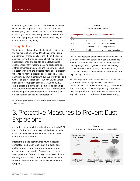industrial hygiene limits which typically have threshold limits below 0.01 g/m<sup>3</sup> (e.g. United States, OSHA, PEL: 0.0035 g/m<sup>3</sup>). Dust concentrations greater than 50 g/  $m<sup>3</sup>$  usually occur only inside equipment, provided that handling is properly performed and industrial hygiene instructions are obeyed [8].

### 2.2 Ignitibility

The ignitibility of a combustible dust is determined by the minimal ignition energy (MIE). It is defined (using standard test procedures [7, 9 and 10]) as the lowest spark energy with which a Carbon Black / air mixture under ideal conditions can still be ignited. It is also dependent on many factors, including particulate size distribution, moisture content, and temperature. MIE is critical in evaluating the probability for a dust explosion. While MIE for many explosible dusts (like epoxy resin, aluminum, sulphur, magnesium, sugar, polyethylene and wheat flour) is in the range of 1-100 mJ, MIE for Carbon Black dusts is\* typically above 1 kJ (=1,000,000 mJ). This excludes e.g. all types of electrostatic discharge as a potential ignition source for Carbon Black dust and grounding (potential equalization) will therefore eliminate all hazards caused by electrostatics.

\*If you have questions about your carbon black product, contact your supplier.

#### **Table 1** Dust Explosion Classes

| <b>Dust explosion</b><br>class | $K_{\rm cr}$ [bar m/s]      | <b>Characteristic</b> |
|--------------------------------|-----------------------------|-----------------------|
| St 0                           | 0                           | No explosion          |
| St 1                           | $0$ and $\leq 200$          | Weak explosion        |
| St 2                           | $\angle$ 200 and $\leq$ 300 | Strong explosion      |
| St3                            | 300 (                       | Very strong explosion |

But MIE can decrease drastically when Carbon Black is treated or mixed with other combustible substances. Mixtures of Carbon Black dust with flammable gases and vapors (so called hybrid mixtures) may modify the explosion risk substantially. Therefore, testing of the specific mixture is recommended to determine the explosibility parameters.

Smoldering Carbon Black can release carbon monoxide (CO), which can form explosible mixtures with air. Combined with Carbon Black, depending on the composition of this hybrid mixture, explosibility parameters may change. If Carbon Black dust were involved in an explosion it would contribute to the released energy.

## 3. Protective Measures to Prevent Dust **Explosions**

According to various international test methods [7, 11 and 12] Carbon Black is an explosible dust classified in hazard class St-1 (weak explosion) under these laboratory test conditions.

Despite this classification, maximum pressures generated in a Carbon Black dust explosion can still be strong enough to rupture equipment and / or can cause burn injuries. Typical flame temperatures generated from a dust explosion, even of slow burning St 1 classified dusts, are in excess of 2000 °C (3630 °F) and pressure can easily exceed 6 bar (90 psig).



**Figure 2**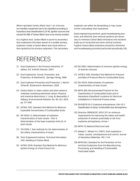3

Where ignitable Carbon Black dust / air mixtures are handled, equipment has to be classified according to hazardous area classifications [13-16]. Ignition sources that exceed the MIE of Carbon Black have to be strictly avoided.

As a fugitive dust, Carbon Black is prone to secondary dust explosions (the blast waves of a smaller primary explosion create a Carbon Black dust cloud which is then ignited by the primary explosion). This secondary

### REFERENCES

- [1] Dust Explosions in the Process Industries, 3rd edition, R.K. Eckhoff, Elsevier, 2003
- [2] Dust Explosions: Course, Prevention, and Protection, W. Bartknecht, Springer-Verlag, 1989
- [3] Dust Explosion Prevention and Protection, J. Barton (IChemE), Butterworth-Heinemann, 2002
- [4] Carbon black vs. black carbon and other airborne materials containing elemental carbon: Physical and chemical distinctions, C. Long, M. Nascarella, P. Valberg, Environmental Pollution Vol. 181, Oct. 2013, pp. 271-286
- [5] ASTM E 1515, Standard Test Method for Minimum Explosible Concentration of Combustible Dusts
- [6] EN 14034–3, Determination of explosion characteristics of dust clouds – Part 3, Determination of the lower explosion limit LEL of dust clouds
- [7] VDI 2263-1, Test methods for the determination of the safety characteristics of dusts
- [8] Orion Engineered Carbons, Technical Information 1451, Handling of Carbon Black
- [9] ASTM E 2019, Standard Test Method for Minimum Ignition Energy of a Dust Cloud in Air

explosion can either be devastating or may cause further (cascading) dust explosions.

Good engineering practices, good housekeeping practices, and effective dust removal systems are necessary to minimize Carbon Black emissions and resultant build-up on horizontal and some vertical surfaces. Fugitive Carbon Black emissions should be minimized and housekeeping activities performed periodically [18].

- [10] EN 13821, Determination of minimum ignition energy of dust/air mixtures
- [11] ASTM E 1226, Standard Test Method for Pressure and Rate of Pressure Rise for Combustible Dusts
- [12] EN 14034, Determination of explosion characteristics of dust clouds
- [13] NFPA 499, Recommended Practice for the Classification of Combustible Dusts and of Hazardous (Classified) Locations for Electrical Installations in Chemical Process Areas
- [14] EN 60079-10-2, Explosive atmospheres, Part 10-2 Classification of areas, Combustible dust atmospheres.
- [15] Directive 1999/92/EC (ATEX 137) on minimum requirements for improving the safety and health protection of workers potentially at risk from explosive atmospheres, Annex 1
- [16] NFPA 70, National Electrical Code
- [17] Abbasi T., Abbasi S.A. (2007). Dust explosions Cases, causes, consequences and control. Journal of Hazardous Materials, 140, 7-44
- [18] NFPA 654, Standard for the Prevention of Fire and Dust Explosions from the Manufacturing, Processing, and Handling of Combustible Particulate Solids